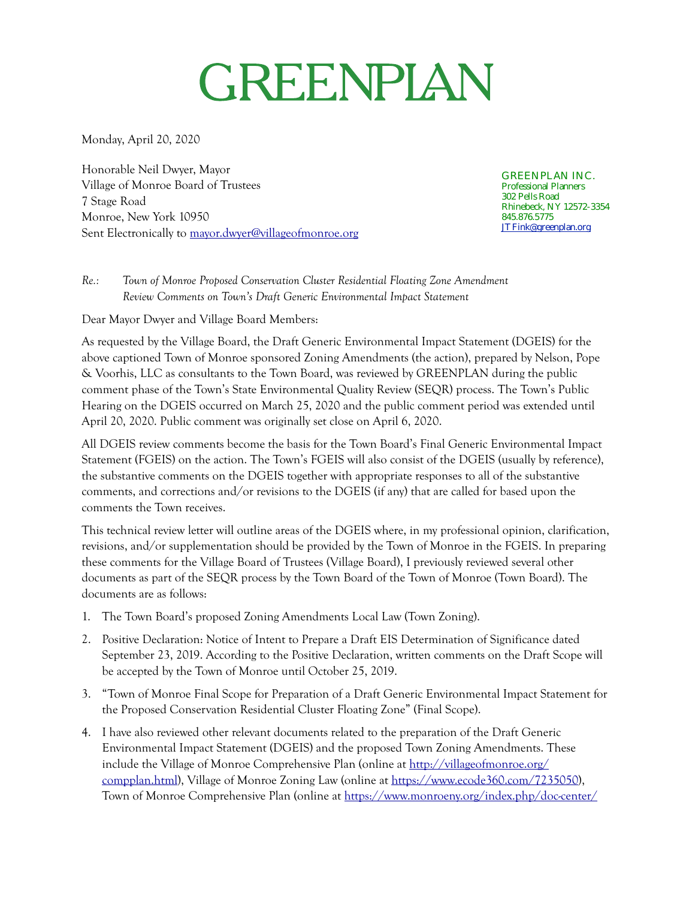## GREENPLAN

Monday, April 20, 2020

Honorable Neil Dwyer, Mayor Village of Monroe Board of Trustees 7 Stage Road Monroe, New York 10950 Sent Electronically to [mayor.dwyer@villageofmonroe.org](mailto:mayor.dwyer@villageofmonroe.org)

GREENPLAN INC. Professional Planners 302 Pells Road Rhinebeck, NY 12572-3354 845.876.5775 [JTFink@greenplan.org](mailto:jtfink@greenplan.org?subject=)

*Re.: Town of Monroe Proposed Conservation Cluster Residential Floating Zone Amendment Review Comments on Town's Draft Generic Environmental Impact Statement* 

Dear Mayor Dwyer and Village Board Members:

As requested by the Village Board, the Draft Generic Environmental Impact Statement (DGEIS) for the above captioned Town of Monroe sponsored Zoning Amendments (the action), prepared by Nelson, Pope & Voorhis, LLC as consultants to the Town Board, was reviewed by GREENPLAN during the public comment phase of the Town's State Environmental Quality Review (SEQR) process. The Town's Public Hearing on the DGEIS occurred on March 25, 2020 and the public comment period was extended until April 20, 2020. Public comment was originally set close on April 6, 2020.

All DGEIS review comments become the basis for the Town Board's Final Generic Environmental Impact Statement (FGEIS) on the action. The Town's FGEIS will also consist of the DGEIS (usually by reference), the substantive comments on the DGEIS together with appropriate responses to all of the substantive comments, and corrections and/or revisions to the DGEIS (if any) that are called for based upon the comments the Town receives.

This technical review letter will outline areas of the DGEIS where, in my professional opinion, clarification, revisions, and/or supplementation should be provided by the Town of Monroe in the FGEIS. In preparing these comments for the Village Board of Trustees (Village Board), I previously reviewed several other documents as part of the SEQR process by the Town Board of the Town of Monroe (Town Board). The documents are as follows:

- 1. The Town Board's proposed Zoning Amendments Local Law (Town Zoning).
- 2. Positive Declaration: Notice of Intent to Prepare a Draft EIS Determination of Significance dated September 23, 2019. According to the Positive Declaration, written comments on the Draft Scope will be accepted by the Town of Monroe until October 25, 2019.
- 3. "Town of Monroe Final Scope for Preparation of a Draft Generic Environmental Impact Statement for the Proposed Conservation Residential Cluster Floating Zone" (Final Scope).
- 4. I have also reviewed other relevant documents related to the preparation of the Draft Generic Environmental Impact Statement (DGEIS) and the proposed Town Zoning Amendments. These include the Village of Monroe Comprehensive Plan (online at [http://villageofmonroe.org/](http://villageofmonroe.org/compplan.html) [compplan.html\)](http://villageofmonroe.org/compplan.html), Village of Monroe Zoning Law (online at [https://www.ecode360.com/7235050\)](https://www.ecode360.com/7235050), Town of Monroe Comprehensive Plan (online at [https://www.monroeny.org/index.php/doc-center/](https://www.monroeny.org/index.php/doc-center/comprehensive-plan)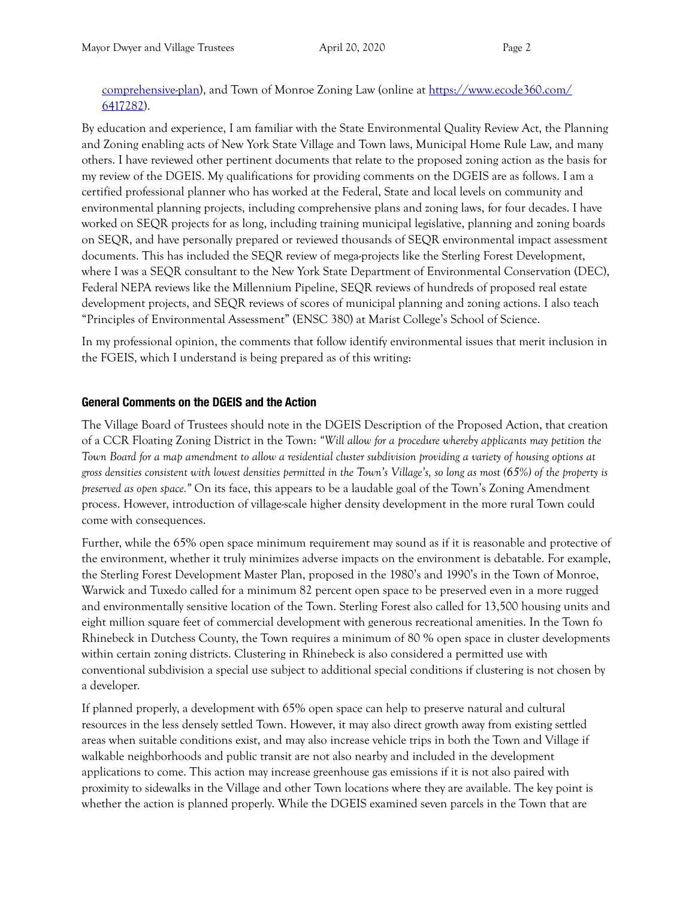[comprehensive-plan\)](https://www.monroeny.org/index.php/doc-center/comprehensive-plan), and Town of Monroe Zoning Law (online at [https://www.ecode360.com/](https://www.ecode360.com/6417282) [6417282\)](https://www.ecode360.com/6417282).

By education and experience, I am familiar with the State Environmental Quality Review Act, the Planning and Zoning enabling acts of New York State Village and Town laws, Municipal Home Rule Law, and many others. I have reviewed other pertinent documents that relate to the proposed zoning action as the basis for my review of the DGEIS. My qualifications for providing comments on the DGEIS are as follows. I am a certified professional planner who has worked at the Federal, State and local levels on community and environmental planning projects, including comprehensive plans and zoning laws, for four decades. I have worked on SEQR projects for as long, including training municipal legislative, planning and zoning boards on SEQR, and have personally prepared or reviewed thousands of SEQR environmental impact assessment documents. This has included the SEQR review of mega-projects like the Sterling Forest Development, where I was a SEQR consultant to the New York State Department of Environmental Conservation (DEC), Federal NEPA reviews like the Millennium Pipeline, SEQR reviews of hundreds of proposed real estate development projects, and SEQR reviews of scores of municipal planning and zoning actions. I also teach "Principles of Environmental Assessment" (ENSC 380) at Marist College's School of Science.

In my professional opinion, the comments that follow identify environmental issues that merit inclusion in the FGEIS, which I understand is being prepared as of this writing:

## **General Comments on the DGEIS and the Action**

The Village Board of Trustees should note in the DGEIS Description of the Proposed Action, that creation of a CCR Floating Zoning District in the Town: *"Will allow for a procedure whereby applicants may petition the Town Board for a map amendment to allow a residential cluster subdivision providing a variety of housing options at gross densities consistent with lowest densities permitted in the Town's Village's, so long as most (65%) of the property is preserved as open space."* On its face, this appears to be a laudable goal of the Town's Zoning Amendment process. However, introduction of village-scale higher density development in the more rural Town could come with consequences.

Further, while the 65% open space minimum requirement may sound as if it is reasonable and protective of the environment, whether it truly minimizes adverse impacts on the environment is debatable. For example, the Sterling Forest Development Master Plan, proposed in the 1980's and 1990's in the Town of Monroe, Warwick and Tuxedo called for a minimum 82 percent open space to be preserved even in a more rugged and environmentally sensitive location of the Town. Sterling Forest also called for 13,500 housing units and eight million square feet of commercial development with generous recreational amenities. In the Town fo Rhinebeck in Dutchess County, the Town requires a minimum of 80 % open space in cluster developments within certain zoning districts. Clustering in Rhinebeck is also considered a permitted use with conventional subdivision a special use subject to additional special conditions if clustering is not chosen by a developer.

If planned properly, a development with 65% open space can help to preserve natural and cultural resources in the less densely settled Town. However, it may also direct growth away from existing settled areas when suitable conditions exist, and may also increase vehicle trips in both the Town and Village if walkable neighborhoods and public transit are not also nearby and included in the development applications to come. This action may increase greenhouse gas emissions if it is not also paired with proximity to sidewalks in the Village and other Town locations where they are available. The key point is whether the action is planned properly. While the DGEIS examined seven parcels in the Town that are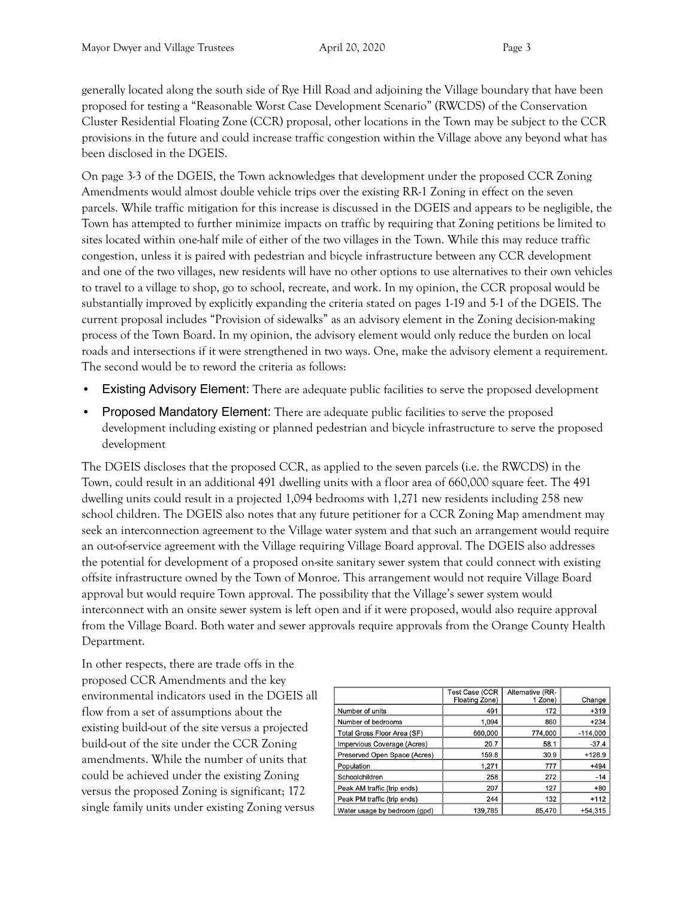generally located along the south side of Rye Hill Road and adjoining the Village boundary that have been proposed for testing a "Reasonable Worst Case Development Scenario" (RWCDS) of the Conservation Cluster Residential Floating Zone (CCR) proposal, other locations in the Town may be subject to the CCR provisions in the future and could increase traffic congestion within the Village above any beyond what has been disclosed in the DGEIS.

On page 3-3 of the DGEIS, the Town acknowledges that development under the proposed CCR Zoning Amendments would almost double vehicle trips over the existing RR-1 Zoning in effect on the seven parcels. While traffic mitigation for this increase is discussed in the DGEIS and appears to be negligible, the Town has attempted to further minimize impacts on traffic by requiring that Zoning petitions be limited to sites located within one-half mile of either of the two villages in the Town. While this may reduce traffic congestion, unless it is paired with pedestrian and bicycle infrastructure between any CCR development and one of the two villages, new residents will have no other options to use alternatives to their own vehicles to travel to a village to shop, go to school, recreate, and work. In my opinion, the CCR proposal would be substantially improved by explicitly expanding the criteria stated on pages 1-19 and 5-1 of the DGEIS. The current proposal includes "Provision of sidewalks" as an advisory element in the Zoning decision-making process of the Town Board. In my opinion, the advisory element would only reduce the burden on local roads and intersections if it were strengthened in two ways. One, make the advisory element a requirement. The second would be to reword the criteria as follows:

- **Existing Advisory Element:** There are adequate public facilities to serve the proposed development
- **Proposed Mandatory Element:** There are adequate public facilities to serve the proposed development including existing or planned pedestrian and bicycle infrastructure to serve the proposed development

The DGEIS discloses that the proposed CCR, as applied to the seven parcels (i.e. the RWCDS) in the Town, could result in an additional 491 dwelling units with a floor area of 660,000 square feet. The 491 dwelling units could result in a projected 1,094 bedrooms with 1,271 new residents including 258 new school children. The DGEIS also notes that any future petitioner for a CCR Zoning Map amendment may seek an interconnection agreement to the Village water system and that such an arrangement would require an out-of-service agreement with the Village requiring Village Board approval. The DGEIS also addresses the potential for development of a proposed on-site sanitary sewer system that could connect with existing offsite infrastructure owned by the Town of Monroe. This arrangement would not require Village Board approval but would require Town approval. The possibility that the Village's sewer system would interconnect with an onsite sewer system is left open and if it were proposed, would also require approval from the Village Board. Both water and sewer approvals require approvals from the Orange County Health Department.

In other respects, there are trade offs in the proposed CCR Amendments and the key environmental indicators used in the DGEIS all flow from a set of assumptions about the existing build-out of the site versus a projected build-out of the site under the CCR Zoning amendments. While the number of units that could be achieved under the existing Zoning versus the proposed Zoning is significant; 172 single family units under existing Zoning versus

|                              | <b>Test Case (CCR</b><br>Floating Zone) | Alternative (RR-<br>1 Zone) | Change     |
|------------------------------|-----------------------------------------|-----------------------------|------------|
| Number of units              | 491                                     | 172                         | $+319$     |
| Number of bedrooms           | 1.094                                   | 860                         | $+234$     |
| Total Gross Floor Area (SF)  | 660,000                                 | 774,000                     | $-114.000$ |
| Impervious Coverage (Acres)  | 20.7                                    | 58.1                        | $-37.4$    |
| Preserved Open Space (Acres) | 159.8                                   | 30.9                        | $+128.9$   |
| Population                   | 1.271                                   | 777                         | $+494$     |
| Schoolchildren               | 258                                     | 272                         | $-14$      |
| Peak AM traffic (trip ends)  | 207                                     | 127                         | $+80$      |
| Peak PM traffic (trip ends)  | 244                                     | 132                         | $+112$     |
| Water usage by bedroom (gpd) | 139,785                                 | 85,470                      | $+54,315$  |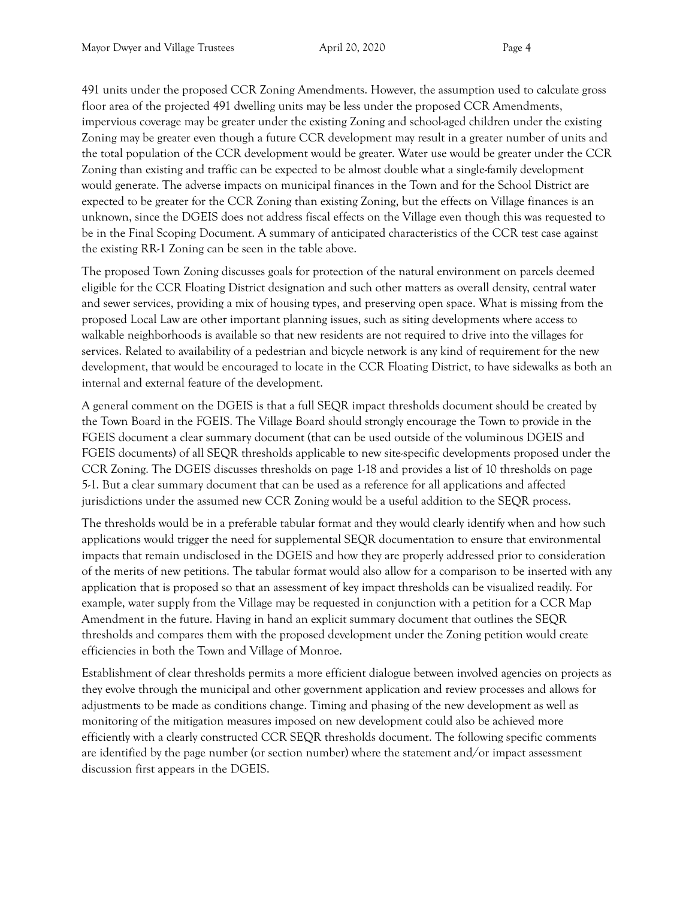491 units under the proposed CCR Zoning Amendments. However, the assumption used to calculate gross floor area of the projected 491 dwelling units may be less under the proposed CCR Amendments, impervious coverage may be greater under the existing Zoning and school-aged children under the existing Zoning may be greater even though a future CCR development may result in a greater number of units and the total population of the CCR development would be greater. Water use would be greater under the CCR Zoning than existing and traffic can be expected to be almost double what a single-family development would generate. The adverse impacts on municipal finances in the Town and for the School District are expected to be greater for the CCR Zoning than existing Zoning, but the effects on Village finances is an unknown, since the DGEIS does not address fiscal effects on the Village even though this was requested to be in the Final Scoping Document. A summary of anticipated characteristics of the CCR test case against the existing RR-1 Zoning can be seen in the table above.

The proposed Town Zoning discusses goals for protection of the natural environment on parcels deemed eligible for the CCR Floating District designation and such other matters as overall density, central water and sewer services, providing a mix of housing types, and preserving open space. What is missing from the proposed Local Law are other important planning issues, such as siting developments where access to walkable neighborhoods is available so that new residents are not required to drive into the villages for services. Related to availability of a pedestrian and bicycle network is any kind of requirement for the new development, that would be encouraged to locate in the CCR Floating District, to have sidewalks as both an internal and external feature of the development.

A general comment on the DGEIS is that a full SEQR impact thresholds document should be created by the Town Board in the FGEIS. The Village Board should strongly encourage the Town to provide in the FGEIS document a clear summary document (that can be used outside of the voluminous DGEIS and FGEIS documents) of all SEQR thresholds applicable to new site-specific developments proposed under the CCR Zoning. The DGEIS discusses thresholds on page 1-18 and provides a list of 10 thresholds on page 5-1. But a clear summary document that can be used as a reference for all applications and affected jurisdictions under the assumed new CCR Zoning would be a useful addition to the SEQR process.

The thresholds would be in a preferable tabular format and they would clearly identify when and how such applications would trigger the need for supplemental SEQR documentation to ensure that environmental impacts that remain undisclosed in the DGEIS and how they are properly addressed prior to consideration of the merits of new petitions. The tabular format would also allow for a comparison to be inserted with any application that is proposed so that an assessment of key impact thresholds can be visualized readily. For example, water supply from the Village may be requested in conjunction with a petition for a CCR Map Amendment in the future. Having in hand an explicit summary document that outlines the SEQR thresholds and compares them with the proposed development under the Zoning petition would create efficiencies in both the Town and Village of Monroe.

Establishment of clear thresholds permits a more efficient dialogue between involved agencies on projects as they evolve through the municipal and other government application and review processes and allows for adjustments to be made as conditions change. Timing and phasing of the new development as well as monitoring of the mitigation measures imposed on new development could also be achieved more efficiently with a clearly constructed CCR SEQR thresholds document. The following specific comments are identified by the page number (or section number) where the statement and/or impact assessment discussion first appears in the DGEIS.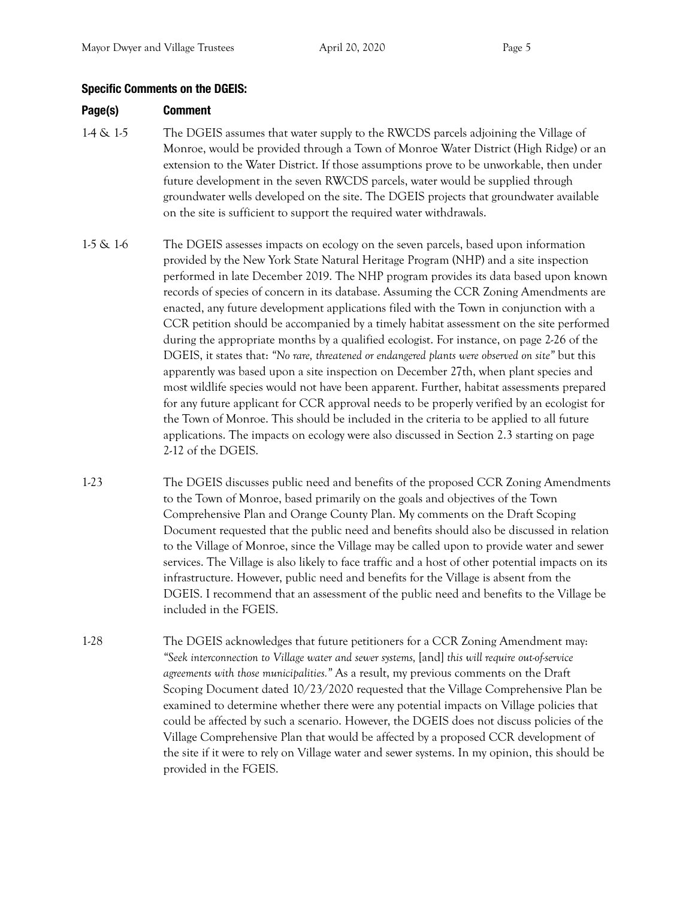## **Specific Comments on the DGEIS:**

## **Page(s) Comment**

- 1-4 & 1-5 The DGEIS assumes that water supply to the RWCDS parcels adjoining the Village of Monroe, would be provided through a Town of Monroe Water District (High Ridge) or an extension to the Water District. If those assumptions prove to be unworkable, then under future development in the seven RWCDS parcels, water would be supplied through groundwater wells developed on the site. The DGEIS projects that groundwater available on the site is sufficient to support the required water withdrawals.
- 1-5 & 1-6 The DGEIS assesses impacts on ecology on the seven parcels, based upon information provided by the New York State Natural Heritage Program (NHP) and a site inspection performed in late December 2019. The NHP program provides its data based upon known records of species of concern in its database. Assuming the CCR Zoning Amendments are enacted, any future development applications filed with the Town in conjunction with a CCR petition should be accompanied by a timely habitat assessment on the site performed during the appropriate months by a qualified ecologist. For instance, on page 2-26 of the DGEIS, it states that: *"No rare, threatened or endangered plants were observed on site"* but this apparently was based upon a site inspection on December 27th, when plant species and most wildlife species would not have been apparent. Further, habitat assessments prepared for any future applicant for CCR approval needs to be properly verified by an ecologist for the Town of Monroe. This should be included in the criteria to be applied to all future applications. The impacts on ecology were also discussed in Section 2.3 starting on page 2-12 of the DGEIS.
- 1-23 The DGEIS discusses public need and benefits of the proposed CCR Zoning Amendments to the Town of Monroe, based primarily on the goals and objectives of the Town Comprehensive Plan and Orange County Plan. My comments on the Draft Scoping Document requested that the public need and benefits should also be discussed in relation to the Village of Monroe, since the Village may be called upon to provide water and sewer services. The Village is also likely to face traffic and a host of other potential impacts on its infrastructure. However, public need and benefits for the Village is absent from the DGEIS. I recommend that an assessment of the public need and benefits to the Village be included in the FGEIS.
- 1-28 The DGEIS acknowledges that future petitioners for a CCR Zoning Amendment may: *"Seek interconnection to Village water and sewer systems,* [and] *this will require out-of-service agreements with those municipalities."* As a result, my previous comments on the Draft Scoping Document dated 10/23/2020 requested that the Village Comprehensive Plan be examined to determine whether there were any potential impacts on Village policies that could be affected by such a scenario. However, the DGEIS does not discuss policies of the Village Comprehensive Plan that would be affected by a proposed CCR development of the site if it were to rely on Village water and sewer systems. In my opinion, this should be provided in the FGEIS.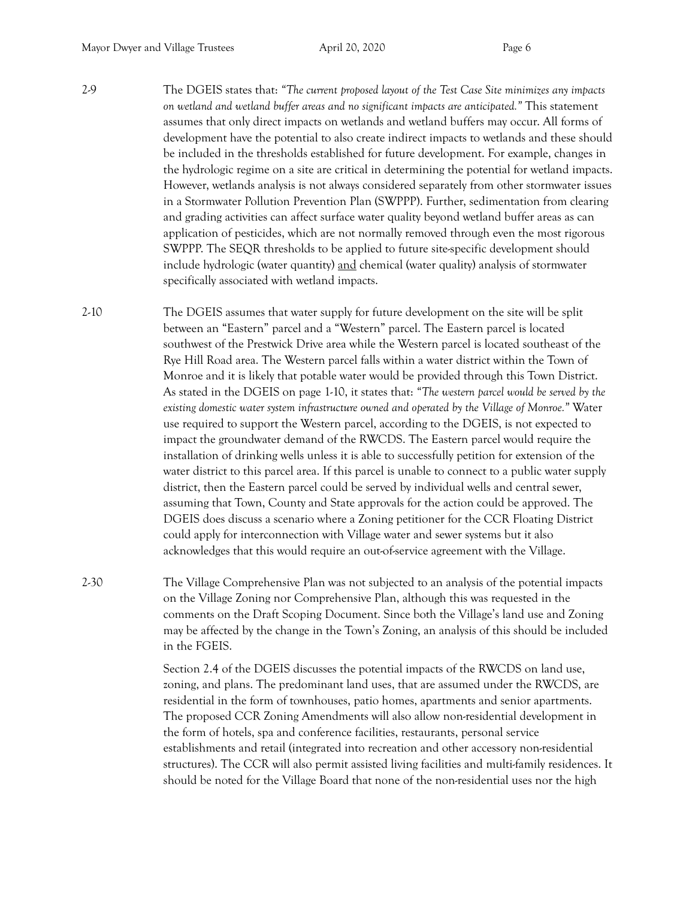2-9 The DGEIS states that: *"The current proposed layout of the Test Case Site minimizes any impacts on wetland and wetland buffer areas and no significant impacts are anticipated."* This statement assumes that only direct impacts on wetlands and wetland buffers may occur. All forms of development have the potential to also create indirect impacts to wetlands and these should be included in the thresholds established for future development. For example, changes in the hydrologic regime on a site are critical in determining the potential for wetland impacts. However, wetlands analysis is not always considered separately from other stormwater issues in a Stormwater Pollution Prevention Plan (SWPPP). Further, sedimentation from clearing and grading activities can affect surface water quality beyond wetland buffer areas as can application of pesticides, which are not normally removed through even the most rigorous SWPPP. The SEQR thresholds to be applied to future site-specific development should include hydrologic (water quantity) and chemical (water quality) analysis of stormwater specifically associated with wetland impacts.

2-10 The DGEIS assumes that water supply for future development on the site will be split between an "Eastern" parcel and a "Western" parcel. The Eastern parcel is located southwest of the Prestwick Drive area while the Western parcel is located southeast of the Rye Hill Road area. The Western parcel falls within a water district within the Town of Monroe and it is likely that potable water would be provided through this Town District. As stated in the DGEIS on page 1-10, it states that: *"The western parcel would be served by the existing domestic water system infrastructure owned and operated by the Village of Monroe."* Water use required to support the Western parcel, according to the DGEIS, is not expected to impact the groundwater demand of the RWCDS. The Eastern parcel would require the installation of drinking wells unless it is able to successfully petition for extension of the water district to this parcel area. If this parcel is unable to connect to a public water supply district, then the Eastern parcel could be served by individual wells and central sewer, assuming that Town, County and State approvals for the action could be approved. The DGEIS does discuss a scenario where a Zoning petitioner for the CCR Floating District could apply for interconnection with Village water and sewer systems but it also acknowledges that this would require an out-of-service agreement with the Village.

2-30 The Village Comprehensive Plan was not subjected to an analysis of the potential impacts on the Village Zoning nor Comprehensive Plan, although this was requested in the comments on the Draft Scoping Document. Since both the Village's land use and Zoning may be affected by the change in the Town's Zoning, an analysis of this should be included in the FGEIS.

> Section 2.4 of the DGEIS discusses the potential impacts of the RWCDS on land use, zoning, and plans. The predominant land uses, that are assumed under the RWCDS, are residential in the form of townhouses, patio homes, apartments and senior apartments. The proposed CCR Zoning Amendments will also allow non-residential development in the form of hotels, spa and conference facilities, restaurants, personal service establishments and retail (integrated into recreation and other accessory non-residential structures). The CCR will also permit assisted living facilities and multi-family residences. It should be noted for the Village Board that none of the non-residential uses nor the high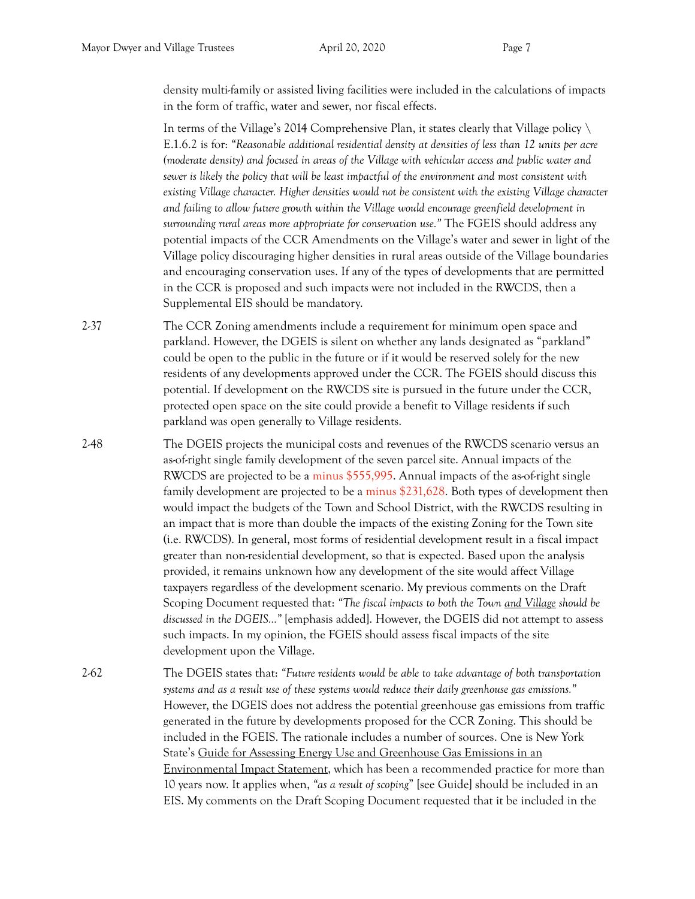density multi-family or assisted living facilities were included in the calculations of impacts in the form of traffic, water and sewer, nor fiscal effects.

 In terms of the Village's 2014 Comprehensive Plan, it states clearly that Village policy \ E.1.6.2 is for: *"Reasonable additional residential density at densities of less than 12 units per acre (moderate density) and focused in areas of the Village with vehicular access and public water and sewer is likely the policy that will be least impactful of the environment and most consistent with existing Village character. Higher densities would not be consistent with the existing Village character and failing to allow future growth within the Village would encourage greenfield development in surrounding rural areas more appropriate for conservation use."* The FGEIS should address any potential impacts of the CCR Amendments on the Village's water and sewer in light of the Village policy discouraging higher densities in rural areas outside of the Village boundaries and encouraging conservation uses. If any of the types of developments that are permitted in the CCR is proposed and such impacts were not included in the RWCDS, then a Supplemental EIS should be mandatory.

- 2-37 The CCR Zoning amendments include a requirement for minimum open space and parkland. However, the DGEIS is silent on whether any lands designated as "parkland" could be open to the public in the future or if it would be reserved solely for the new residents of any developments approved under the CCR. The FGEIS should discuss this potential. If development on the RWCDS site is pursued in the future under the CCR, protected open space on the site could provide a benefit to Village residents if such parkland was open generally to Village residents.
- 2-48 The DGEIS projects the municipal costs and revenues of the RWCDS scenario versus an as-of-right single family development of the seven parcel site. Annual impacts of the RWCDS are projected to be a minus \$555,995. Annual impacts of the as-of-right single family development are projected to be a minus \$231,628. Both types of development then would impact the budgets of the Town and School District, with the RWCDS resulting in an impact that is more than double the impacts of the existing Zoning for the Town site (i.e. RWCDS). In general, most forms of residential development result in a fiscal impact greater than non-residential development, so that is expected. Based upon the analysis provided, it remains unknown how any development of the site would affect Village taxpayers regardless of the development scenario. My previous comments on the Draft Scoping Document requested that: *"The fiscal impacts to both the Town and Village should be discussed in the DGEIS…"* [emphasis added]. However, the DGEIS did not attempt to assess such impacts. In my opinion, the FGEIS should assess fiscal impacts of the site development upon the Village.
- 2-62 The DGEIS states that: *"Future residents would be able to take advantage of both transportation systems and as a result use of these systems would reduce their daily greenhouse gas emissions."* However, the DGEIS does not address the potential greenhouse gas emissions from traffic generated in the future by developments proposed for the CCR Zoning. This should be included in the FGEIS. The rationale includes a number of sources. One is New York State's Guide for Assessing Energy Use and Greenhouse Gas Emissions in an Environmental Impact Statement, which has been a recommended practice for more than 10 years now. It applies when, *"as a result of scoping*" [see Guide] should be included in an EIS. My comments on the Draft Scoping Document requested that it be included in the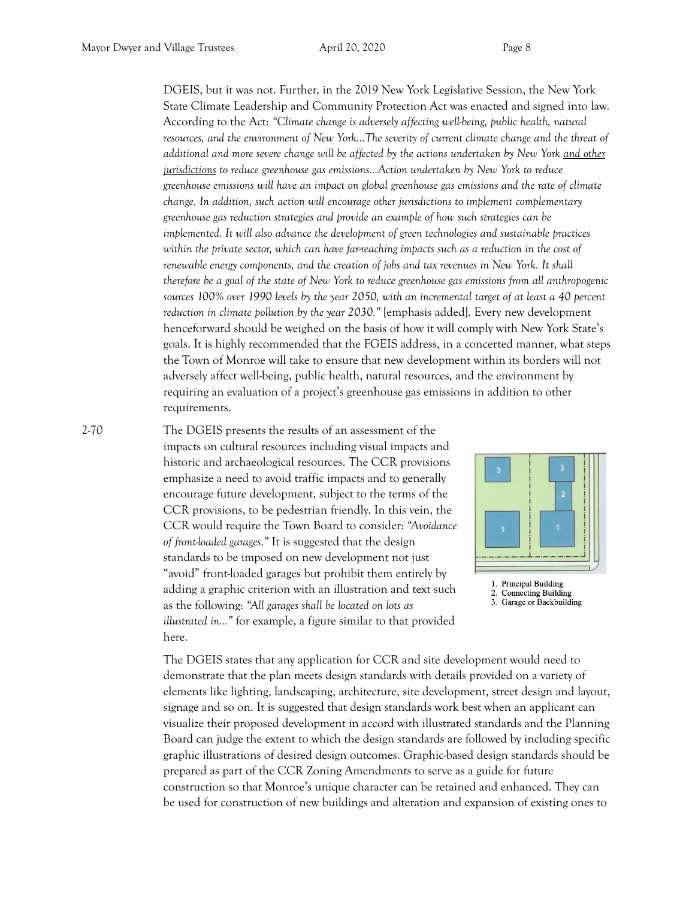DGEIS, but it was not. Further, in the 2019 New York Legislative Session, the New York State Climate Leadership and Community Protection Act was enacted and signed into law. According to the Act: *"Climate change is adversely affecting well-being, public health, natural resources, and the environment of New York…The severity of current climate change and the threat of additional and more severe change will be affected by the actions undertaken by New York and other jurisdictions to reduce greenhouse gas emissions…Action undertaken by New York to reduce greenhouse emissions will have an impact on global greenhouse gas emissions and the rate of climate change. In addition, such action will encourage other jurisdictions to implement complementary greenhouse gas reduction strategies and provide an example of how such strategies can be implemented. It will also advance the development of green technologies and sustainable practices*  within the private sector, which can have far-reaching impacts such as a reduction in the cost of *renewable energy components, and the creation of jobs and tax revenues in New York. It shall therefore be a goal of the state of New York to reduce greenhouse gas emissions from all anthropogenic sources 100% over 1990 levels by the year 2050, with an incremental target of at least a 40 percent reduction in climate pollution by the year 2030."* [emphasis added]. Every new development henceforward should be weighed on the basis of how it will comply with New York State's goals. It is highly recommended that the FGEIS address, in a concerted manner, what steps the Town of Monroe will take to ensure that new development within its borders will not adversely affect well-being, public health, natural resources, and the environment by requiring an evaluation of a project's greenhouse gas emissions in addition to other requirements.

2-70 The DGEIS presents the results of an assessment of the impacts on cultural resources including visual impacts and historic and archaeological resources. The CCR provisions emphasize a need to avoid traffic impacts and to generally encourage future development, subject to the terms of the CCR provisions, to be pedestrian friendly. In this vein, the CCR would require the Town Board to consider: *"Avoidance of front-loaded garages."* It is suggested that the design standards to be imposed on new development not just "avoid" front-loaded garages but prohibit them entirely by adding a graphic criterion with an illustration and text such as the following: *"All garages shall be located on lots as illustrated in…"* for example, a figure similar to that provided here.



1. Principal Building 2. Connecting Building 3. Garage or Backbuilding

 The DGEIS states that any application for CCR and site development would need to demonstrate that the plan meets design standards with details provided on a variety of elements like lighting, landscaping, architecture, site development, street design and layout, signage and so on. It is suggested that design standards work best when an applicant can visualize their proposed development in accord with illustrated standards and the Planning Board can judge the extent to which the design standards are followed by including specific graphic illustrations of desired design outcomes. Graphic-based design standards should be prepared as part of the CCR Zoning Amendments to serve as a guide for future construction so that Monroe's unique character can be retained and enhanced. They can be used for construction of new buildings and alteration and expansion of existing ones to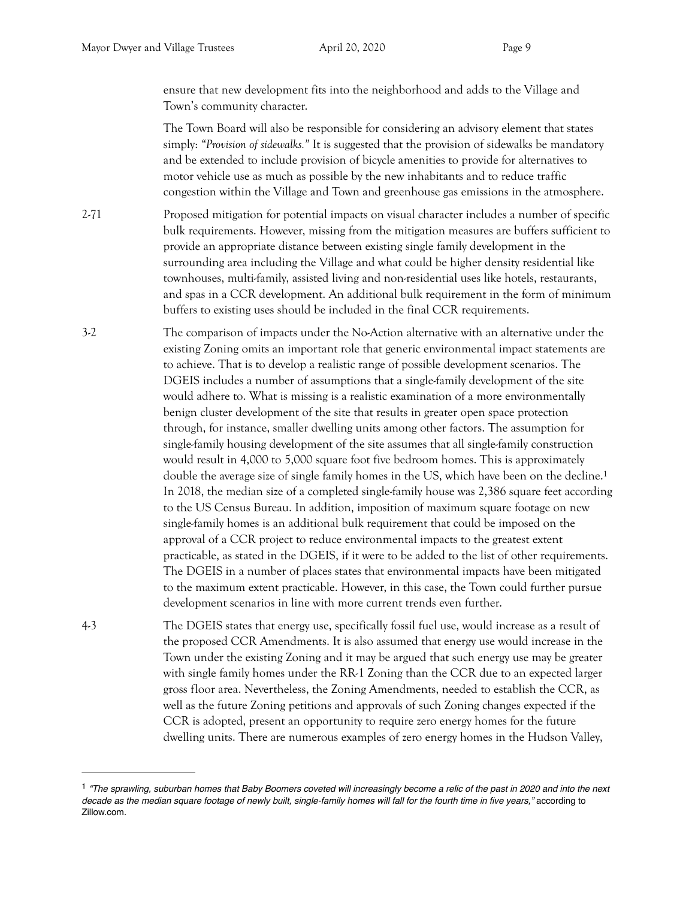ensure that new development fits into the neighborhood and adds to the Village and Town's community character.

 The Town Board will also be responsible for considering an advisory element that states simply: *"Provision of sidewalks."* It is suggested that the provision of sidewalks be mandatory and be extended to include provision of bicycle amenities to provide for alternatives to motor vehicle use as much as possible by the new inhabitants and to reduce traffic congestion within the Village and Town and greenhouse gas emissions in the atmosphere.

- 2-71 Proposed mitigation for potential impacts on visual character includes a number of specific bulk requirements. However, missing from the mitigation measures are buffers sufficient to provide an appropriate distance between existing single family development in the surrounding area including the Village and what could be higher density residential like townhouses, multi-family, assisted living and non-residential uses like hotels, restaurants, and spas in a CCR development. An additional bulk requirement in the form of minimum buffers to existing uses should be included in the final CCR requirements.
- <span id="page-8-1"></span>3-2 The comparison of impacts under the No-Action alternative with an alternative under the existing Zoning omits an important role that generic environmental impact statements are to achieve. That is to develop a realistic range of possible development scenarios. The DGEIS includes a number of assumptions that a single-family development of the site would adhere to. What is missing is a realistic examination of a more environmentally benign cluster development of the site that results in greater open space protection through, for instance, smaller dwelling units among other factors. The assumption for single-family housing development of the site assumes that all single-family construction would result in 4,000 to 5,000 square foot five bedroom homes. This is approximately double the average size of single family homes in the US, which have been on the decline.[1](#page-8-0) In 2018, the median size of a completed single-family house was 2,386 square feet according to the US Census Bureau. In addition, imposition of maximum square footage on new single-family homes is an additional bulk requirement that could be imposed on the approval of a CCR project to reduce environmental impacts to the greatest extent practicable, as stated in the DGEIS, if it were to be added to the list of other requirements. The DGEIS in a number of places states that environmental impacts have been mitigated to the maximum extent practicable. However, in this case, the Town could further pursue development scenarios in line with more current trends even further.
- 4-3 The DGEIS states that energy use, specifically fossil fuel use, would increase as a result of the proposed CCR Amendments. It is also assumed that energy use would increase in the Town under the existing Zoning and it may be argued that such energy use may be greater with single family homes under the RR-1 Zoning than the CCR due to an expected larger gross floor area. Nevertheless, the Zoning Amendments, needed to establish the CCR, as well as the future Zoning petitions and approvals of such Zoning changes expected if the CCR is adopted, present an opportunity to require zero energy homes for the future dwelling units. There are numerous examples of zero energy homes in the Hudson Valley,

<span id="page-8-0"></span><sup>&</sup>lt;sup>[1](#page-8-1)</sup> "The sprawling, suburban homes that Baby Boomers coveted will increasingly become a relic of the past in 2020 and into the next *decade as the median square footage of newly built, single-family homes will fall for the fourth time in five years,"* according to Zillow.com.